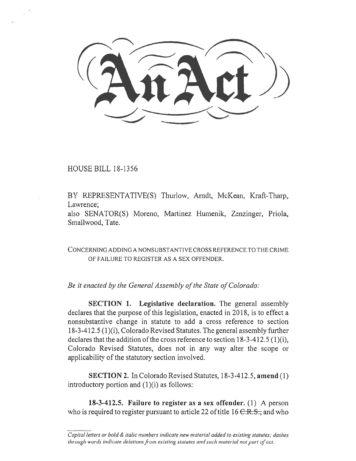HOUSE BILL 18-1356

BY REPRESENTATIVE(S) Thurlow, Arndt, McKean, Kraft-Tharp, Lawrence;

also SENATOR(S) Moreno, Martinez Humenik, Zenzinger, Priola, Smallwood, Tate.

CONCERNING ADDING A NONSUBSTANTIVE CROSS REFERENCE TO THE CRIME OF FAILURE TO REGISTER AS A SEX OFFENDER.

*Be it enacted by the General Assembly of the State of Colorado:* 

**SECTION 1.** Legislative declaration. The general assembly declares that the purpose of this legislation, enacted in 2018, is to effect a nonsubstantive change in statute to add a cross reference to section 18-3-412.5 (1)(i), Colorado Revised Statutes. The general assembly further declares that the addition of the cross reference to section 18-3-412.5 (1)(i), Colorado Revised Statutes, does not in any way alter the scope or applicability of the statutory section involved.

**SECTION 2.** In Colorado Revised Statutes, 18-3-412.5, **amend** (1) introductory portion and (1)(i) as follows:

**18-3-412.5. Failure to register as a sex offender.** (1) A person who is required to register pursuant to article 22 of title 16  $C.R.S.,$  and who

*Capital letters or bold & italic numbers indicate new material added to existing statutes; dashes through words indicate deletions from existing statutes and such material not part of act.*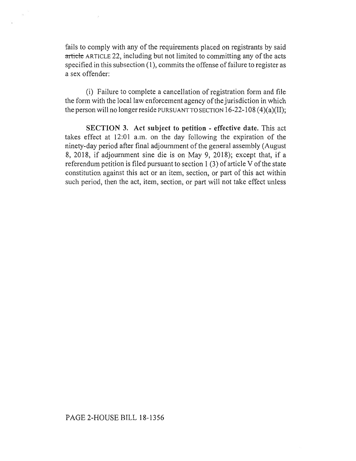fails to comply with any of the requirements placed on registrants by said article ARTICLE 22, including but not limited to committing any of the acts specified in this subsection **(1),** commits the offense of failure to register as a sex offender:

(i) Failure to complete a cancellation of registration form and file the form with the local law enforcement agency of the jurisdiction in which the person will no longer reside PURSUANT TO SECTION 16-22-108 (4)(a)(II);

**SECTION 3. Act subject to petition - effective date.** This act takes effect at 12:01 a.m. on the day following the expiration of the ninety-day period after final adjournment of the general assembly (August 8, 2018, if adjournment sine die is on May 9, 2018); except that, if a referendum petition is filed pursuant to section 1 (3) of article V of the state constitution against this act or an item, section, or part of this act within such period, then the act, item, section, or part will not take effect unless